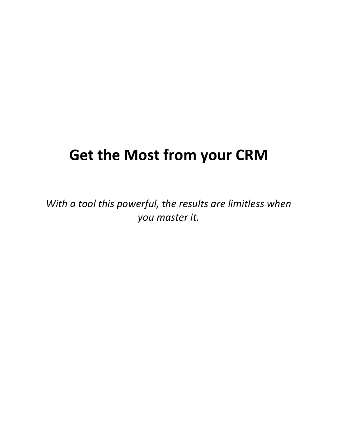# **Get the Most from your CRM**

*With a tool this powerful, the results are limitless when you master it.*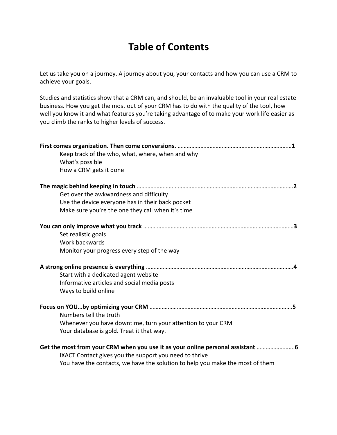### **Table of Contents**

Let us take you on a journey. A journey about you, your contacts and how you can use a CRM to achieve your goals.

Studies and statistics show that a CRM can, and should, be an invaluable tool in your real estate business. How you get the most out of your CRM has to do with the quality of the tool, how well you know it and what features you're taking advantage of to make your work life easier as you climb the ranks to higher levels of success.

| Keep track of the who, what, where, when and why<br>What's possible<br>How a CRM gets it done |
|-----------------------------------------------------------------------------------------------|
|                                                                                               |
| Get over the awkwardness and difficulty                                                       |
| Use the device everyone has in their back pocket                                              |
| Make sure you're the one they call when it's time                                             |
|                                                                                               |
| Set realistic goals                                                                           |
| Work backwards                                                                                |
| Monitor your progress every step of the way                                                   |
|                                                                                               |
| Start with a dedicated agent website                                                          |
| Informative articles and social media posts                                                   |
| Ways to build online                                                                          |
|                                                                                               |
| Numbers tell the truth                                                                        |
| Whenever you have downtime, turn your attention to your CRM                                   |
| Your database is gold. Treat it that way.                                                     |
| Get the most from your CRM when you use it as your online personal assistant                  |
| IXACT Contact gives you the support you need to thrive                                        |
| You have the contacts, we have the solution to help you make the most of them                 |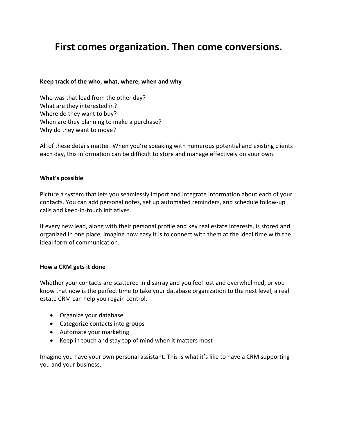### **First comes organization. Then come conversions.**

#### **Keep track of the who, what, where, when and why**

Who was that lead from the other day? What are they interested in? Where do they want to buy? When are they planning to make a purchase? Why do they want to move?

All of these details matter. When you're speaking with numerous potential and existing clients each day, this information can be difficult to store and manage effectively on your own.

#### **What's possible**

Picture a system that lets you seamlessly import and integrate information about each of your contacts. You can add personal notes, set up automated reminders, and schedule follow-up calls and keep-in-touch initiatives.

If every new lead, along with their personal profile and key real estate interests, is stored and organized in one place, imagine how easy it is to connect with them at the ideal time with the ideal form of communication.

#### **How a CRM gets it done**

Whether your contacts are scattered in disarray and you feel lost and overwhelmed, or you know that now is the perfect time to take your database organization to the next level, a real estate CRM can help you regain control.

- Organize your database
- Categorize contacts into groups
- Automate your marketing
- Keep in touch and stay top of mind when it matters most

Imagine you have your own personal assistant. This is what it's like to have a CRM supporting you and your business.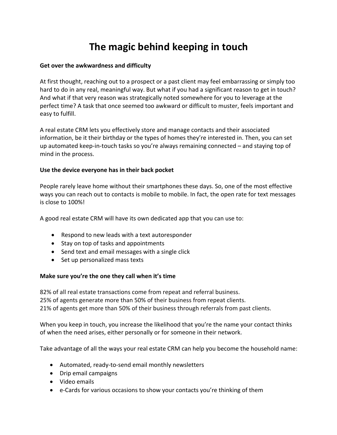## **The magic behind keeping in touch**

### **Get over the awkwardness and difficulty**

At first thought, reaching out to a prospect or a past client may feel embarrassing or simply too hard to do in any real, meaningful way. But what if you had a significant reason to get in touch? And what if that very reason was strategically noted somewhere for you to leverage at the perfect time? A task that once seemed too awkward or difficult to muster, feels important and easy to fulfill.

A real estate CRM lets you effectively store and manage contacts and their associated information, be it their birthday or the types of homes they're interested in. Then, you can set up automated keep-in-touch tasks so you're always remaining connected – and staying top of mind in the process.

### **Use the device everyone has in their back pocket**

People rarely leave home without their smartphones these days. So, one of the most effective ways you can reach out to contacts is mobile to mobile. In fact, the open rate for text messages is close to 100%!

A good real estate CRM will have its own dedicated app that you can use to:

- Respond to new leads with a text autoresponder
- Stay on top of tasks and appointments
- Send text and email messages with a single click
- Set up personalized mass texts

### **Make sure you're the one they call when it's time**

82% of all real estate transactions come from repeat and referral business. 25% of agents generate more than 50% of their business from repeat clients. 21% of agents get more than 50% of their business through referrals from past clients.

When you keep in touch, you increase the likelihood that you're the name your contact thinks of when the need arises, either personally or for someone in their network.

Take advantage of all the ways your real estate CRM can help you become the household name:

- Automated, ready-to-send email monthly newsletters
- Drip email campaigns
- Video emails
- e-Cards for various occasions to show your contacts you're thinking of them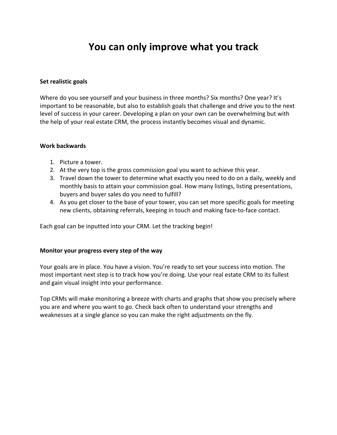### **You can only improve what you track**

#### **Set realistic goals**

Where do you see yourself and your business in three months? Six months? One year? It's important to be reasonable, but also to establish goals that challenge and drive you to the next level of success in your career. Developing a plan on your own can be overwhelming but with the help of your real estate CRM, the process instantly becomes visual and dynamic.

#### **Work backwards**

- 1. Picture a tower.
- 2. At the very top is the gross commission goal you want to achieve this year.
- 3. Travel down the tower to determine what exactly you need to do on a daily, weekly and monthly basis to attain your commission goal. How many listings, listing presentations, buyers and buyer sales do you need to fulfill?
- 4. As you get closer to the base of your tower, you can set more specific goals for meeting new clients, obtaining referrals, keeping in touch and making face-to-face contact.

Each goal can be inputted into your CRM. Let the tracking begin!

### **Monitor your progress every step of the way**

Your goals are in place. You have a vision. You're ready to set your success into motion. The most important next step is to track how you're doing. Use your real estate CRM to its fullest and gain visual insight into your performance.

Top CRMs will make monitoring a breeze with charts and graphs that show you precisely where you are and where you want to go. Check back often to understand your strengths and weaknesses at a single glance so you can make the right adjustments on the fly.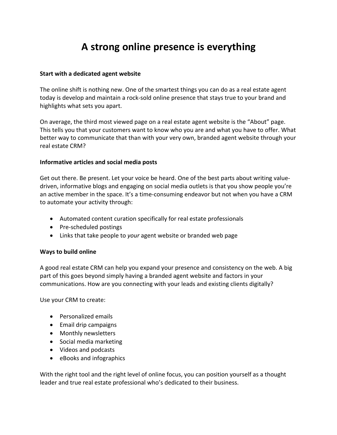### **A strong online presence is everything**

### **Start with a dedicated agent website**

The online shift is nothing new. One of the smartest things you can do as a real estate agent today is develop and maintain a rock-sold online presence that stays true to your brand and highlights what sets you apart.

On average, the third most viewed page on a real estate agent website is the "About" page. This tells you that your customers want to know who you are and what you have to offer. What better way to communicate that than with your very own, branded agent website through your real estate CRM?

#### **Informative articles and social media posts**

Get out there. Be present. Let your voice be heard. One of the best parts about writing valuedriven, informative blogs and engaging on social media outlets is that you show people you're an active member in the space. It's a time-consuming endeavor but not when you have a CRM to automate your activity through:

- Automated content curation specifically for real estate professionals
- Pre-scheduled postings
- Links that take people to *your* agent website or branded web page

### **Ways to build online**

A good real estate CRM can help you expand your presence and consistency on the web. A big part of this goes beyond simply having a branded agent website and factors in your communications. How are you connecting with your leads and existing clients digitally?

Use your CRM to create:

- Personalized emails
- Email drip campaigns
- Monthly newsletters
- Social media marketing
- Videos and podcasts
- eBooks and infographics

With the right tool and the right level of online focus, you can position yourself as a thought leader and true real estate professional who's dedicated to their business.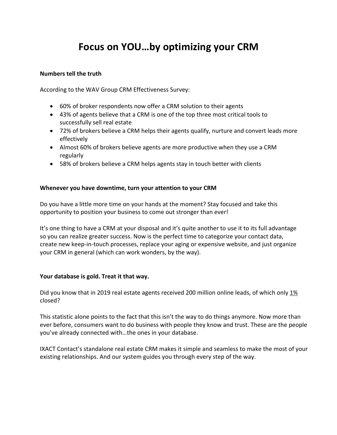### **Focus on YOU…by optimizing your CRM**

### **Numbers tell the truth**

According to the WAV Group CRM Effectiveness Survey:

- 60% of broker respondents now offer a CRM solution to their agents
- 43% of agents believe that a CRM is one of the top three most critical tools to successfully sell real estate
- 72% of brokers believe a CRM helps their agents qualify, nurture and convert leads more effectively
- Almost 60% of brokers believe agents are more productive when they use a CRM regularly
- 58% of brokers believe a CRM helps agents stay in touch better with clients

### **Whenever you have downtime, turn your attention to your CRM**

Do you have a little more time on your hands at the moment? Stay focused and take this opportunity to position your business to come out stronger than ever!

It's one thing to have a CRM at your disposal and it's quite another to use it to its full advantage so you can realize greater success. Now is the perfect time to categorize your contact data, create new keep-in-touch processes, replace your aging or expensive website, and just organize your CRM in general (which can work wonders, by the way).

### **Your database is gold. Treat it that way.**

Did you know that in 2019 real estate agents received 200 million online leads, of which only 1% closed?

This statistic alone points to the fact that this isn't the way to do things anymore. Now more than ever before, consumers want to do business with people they know and trust. These are the people you've already connected with…the ones in your database.

IXACT Contact's standalone real estate CRM makes it simple and seamless to make the most of your existing relationships. And our system guides you through every step of the way.